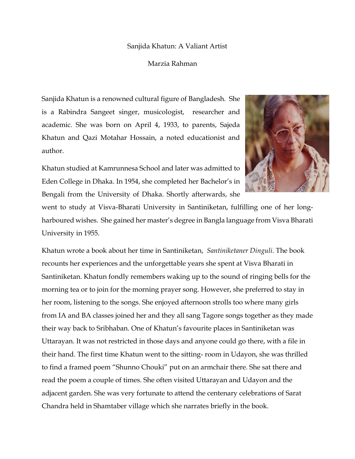## Sanjida Khatun: A Valiant Artist

## Marzia Rahman

Sanjida Khatun is a renowned cultural figure of Bangladesh. She is a Rabindra Sangeet singer, musicologist, researcher and academic. She was born on April 4, 1933, to parents, Sajeda Khatun and Qazi Motahar Hossain, a noted educationist and author.

Khatun studied at Kamrunnesa School and later was admitted to Eden College in Dhaka. In 1954, she completed her Bachelor's in Bengali from the University of Dhaka. Shortly afterwards, she



went to study at Visva-Bharati University in Santiniketan, fulfilling one of her longharboured wishes. She gained her master's degree in Bangla language from Visva Bharati University in 1955.

Khatun wrote a book about her time in Santiniketan, *Santiniketaner Dinguli*. The book recounts her experiences and the unforgettable years she spent at Visva Bharati in Santiniketan. Khatun fondly remembers waking up to the sound of ringing bells for the morning tea or to join for the morning prayer song. However, she preferred to stay in her room, listening to the songs. She enjoyed afternoon strolls too where many girls from IA and BA classes joined her and they all sang Tagore songs together as they made their way back to Sribhaban. One of Khatun's favourite places in Santiniketan was Uttarayan. It was not restricted in those days and anyone could go there, with a file in their hand. The first time Khatun went to the sitting- room in Udayon, she was thrilled to find a framed poem "Shunno Chouki" put on an armchair there. She sat there and read the poem a couple of times. She often visited Uttarayan and Udayon and the adjacent garden. She was very fortunate to attend the centenary celebrations of Sarat Chandra held in Shamtaber village which she narrates briefly in the book.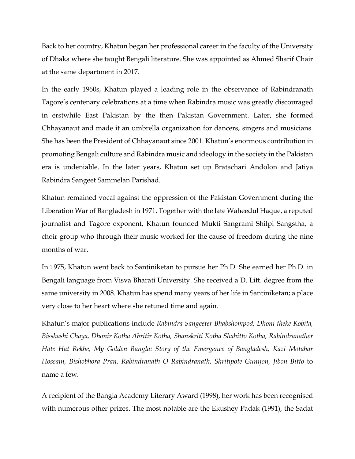Back to her country, Khatun began her professional career in the faculty of the University of Dhaka where she taught Bengali literature. She was appointed as Ahmed Sharif Chair at the same department in 2017.

In the early 1960s, Khatun played a leading role in the observance of Rabindranath Tagore's centenary celebrations at a time when Rabindra music was greatly discouraged in erstwhile East Pakistan by the then Pakistan Government. Later, she formed Chhayanaut and made it an umbrella organization for dancers, singers and musicians. She has been the President of Chhayanaut since 2001. Khatun's enormous contribution in promoting Bengali culture and Rabindra music and ideology in the society in the Pakistan era is undeniable. In the later years, Khatun set up Bratachari Andolon and Jatiya Rabindra Sangeet Sammelan Parishad.

Khatun remained vocal against the oppression of the Pakistan Government during the Liberation War of Bangladesh in 1971. Together with the late Waheedul Haque, a reputed journalist and Tagore exponent, Khatun founded Mukti Sangrami Shilpi Sangstha, a choir group who through their music worked for the cause of freedom during the nine months of war.

In 1975, Khatun went back to Santiniketan to pursue her Ph.D. She earned her Ph.D. in Bengali language from Visva Bharati University. She received a D. Litt. degree from the same university in 2008. Khatun has spend many years of her life in Santiniketan; a place very close to her heart where she retuned time and again.

Khatun's major publications include *Rabindra Sangeeter Bhabshompod, Dhoni theke Kobita, Bisshashi Chaya, Dhonir Kotha Abritir Kotha, Shanskriti Kotha Shahitto Kotha, Rabindranather Hate Hat Rekhe, My Golden Bangla: Story of the Emergence of Bangladesh, Kazi Motahar Hossain, Bishobhora Pran, Rabindranath O Rabindranath, Shritipote Gunijon, Jibon Bitto* to name a few*.*

A recipient of the Bangla Academy Literary Award (1998), her work has been recognised with numerous other prizes. The most notable are the Ekushey Padak (1991), the Sadat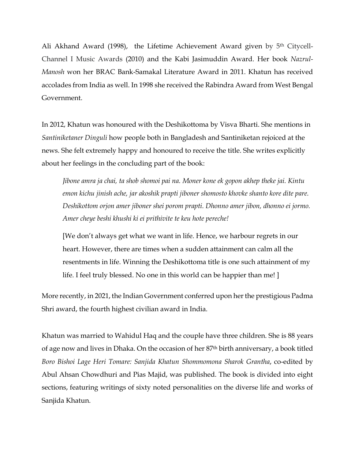Ali Akhand Award (1998), the Lifetime Achievement Award given by 5<sup>th</sup> Citycell-Channel I Music Awards (2010) and the Kabi Jasimuddin Award. Her book *Nazrul-Manosh* won her BRAC Bank-Samakal Literature Award in 2011. Khatun has received accolades from India as well. In 1998 she received the Rabindra Award from West Bengal Government.

In 2012, Khatun was honoured with the Deshikottoma by Visva Bharti. She mentions in *Santiniketaner Dinguli* how people both in Bangladesh and Santiniketan rejoiced at the news. She felt extremely happy and honoured to receive the title. She writes explicitly about her feelings in the concluding part of the book:

*Jibone amra ja chai, ta shob shomoi pai na. Moner kone ek gopon akhep theke jai. Kintu emon kichu jinish ache, jar akoshik prapti jiboner shomosto khovke shanto kore dite pare. Deshikottom orjon amer jiboner shei porom prapti. Dhonno amer jibon, dhonno ei jormo. Amer cheye beshi khushi ki ei prithivite te keu hote pereche!* 

[We don't always get what we want in life. Hence, we harbour regrets in our heart. However, there are times when a sudden attainment can calm all the resentments in life. Winning the Deshikottoma title is one such attainment of my life. I feel truly blessed. No one in this world can be happier than me! ]

More recently, in 2021, the Indian Government conferred upon her the prestigious Padma Shri award, the fourth highest civilian award in India.

Khatun was married to Wahidul Haq and the couple have three children. She is 88 years of age now and lives in Dhaka. On the occasion of her 87th birth anniversary, a book titled *Boro Bishoi Lage Heri Tomare: Sanjida Khatun Shommomona Sharok Grantha*, co-edited by Abul Ahsan Chowdhuri and Pias Majid, was published. The book is divided into eight sections, featuring writings of sixty noted personalities on the diverse life and works of Sanjida Khatun.